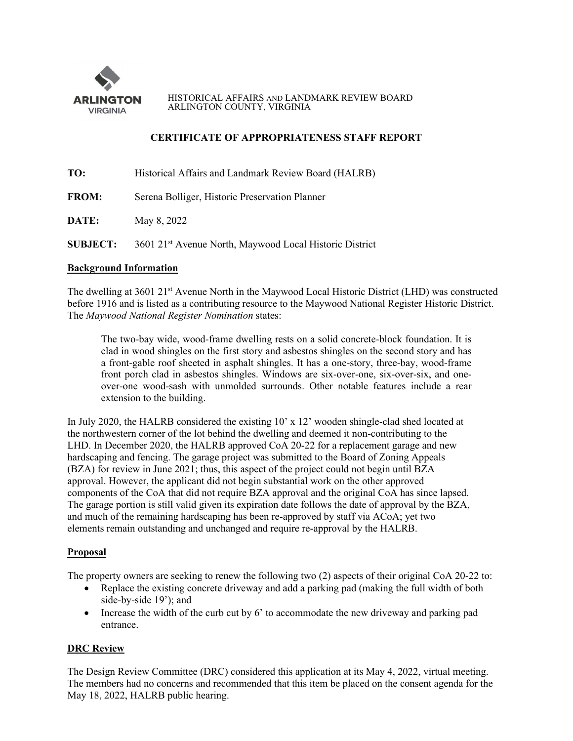

HISTORICAL AFFAIRS AND LANDMARK REVIEW BOARD ARLINGTON COUNTY, VIRGINIA

## **CERTIFICATE OF APPROPRIATENESS STAFF REPORT**

| TO:             | Historical Affairs and Landmark Review Board (HALRB)                |
|-----------------|---------------------------------------------------------------------|
| <b>FROM:</b>    | Serena Bolliger, Historic Preservation Planner                      |
| DATE:           | May 8, 2022                                                         |
| <b>SUBJECT:</b> | 3601 21 <sup>st</sup> Avenue North, Maywood Local Historic District |

# **Background Information**

The dwelling at 3601 21<sup>st</sup> Avenue North in the Maywood Local Historic District (LHD) was constructed before 1916 and is listed as a contributing resource to the Maywood National Register Historic District. The *Maywood National Register Nomination* states:

The two-bay wide, wood-frame dwelling rests on a solid concrete-block foundation. It is clad in wood shingles on the first story and asbestos shingles on the second story and has a front-gable roof sheeted in asphalt shingles. It has a one-story, three-bay, wood-frame front porch clad in asbestos shingles. Windows are six-over-one, six-over-six, and oneover-one wood-sash with unmolded surrounds. Other notable features include a rear extension to the building.

In July 2020, the HALRB considered the existing 10' x 12' wooden shingle-clad shed located at the northwestern corner of the lot behind the dwelling and deemed it non-contributing to the LHD. In December 2020, the HALRB approved CoA 20-22 for a replacement garage and new hardscaping and fencing. The garage project was submitted to the Board of Zoning Appeals (BZA) for review in June 2021; thus, this aspect of the project could not begin until BZA approval. However, the applicant did not begin substantial work on the other approved components of the CoA that did not require BZA approval and the original CoA has since lapsed. The garage portion is still valid given its expiration date follows the date of approval by the BZA, and much of the remaining hardscaping has been re-approved by staff via ACoA; yet two elements remain outstanding and unchanged and require re-approval by the HALRB.

### **Proposal**

The property owners are seeking to renew the following two (2) aspects of their original CoA 20-22 to:

- Replace the existing concrete driveway and add a parking pad (making the full width of both side-by-side 19'); and
- Increase the width of the curb cut by 6' to accommodate the new driveway and parking pad entrance.

## **DRC Review**

The Design Review Committee (DRC) considered this application at its May 4, 2022, virtual meeting. The members had no concerns and recommended that this item be placed on the consent agenda for the May 18, 2022, HALRB public hearing.